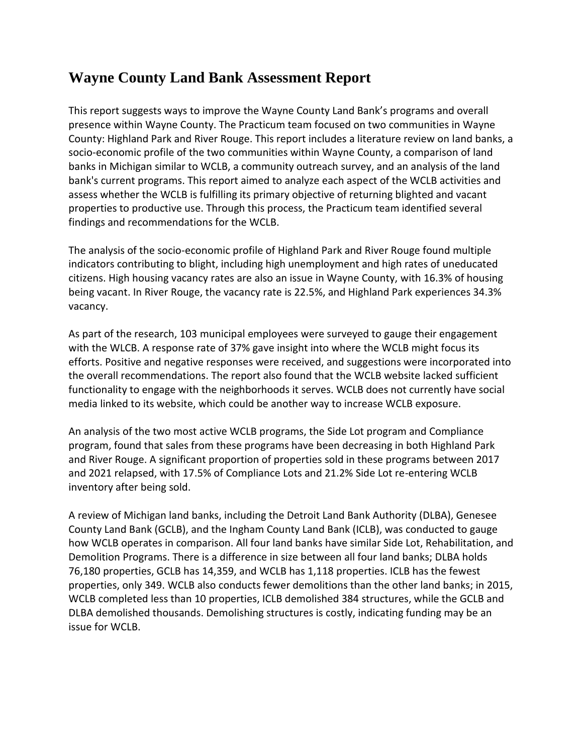## **Wayne County Land Bank Assessment Report**

This report suggests ways to improve the Wayne County Land Bank's programs and overall presence within Wayne County. The Practicum team focused on two communities in Wayne County: Highland Park and River Rouge. This report includes a literature review on land banks, a socio-economic profile of the two communities within Wayne County, a comparison of land banks in Michigan similar to WCLB, a community outreach survey, and an analysis of the land bank's current programs. This report aimed to analyze each aspect of the WCLB activities and assess whether the WCLB is fulfilling its primary objective of returning blighted and vacant properties to productive use. Through this process, the Practicum team identified several findings and recommendations for the WCLB.

The analysis of the socio-economic profile of Highland Park and River Rouge found multiple indicators contributing to blight, including high unemployment and high rates of uneducated citizens. High housing vacancy rates are also an issue in Wayne County, with 16.3% of housing being vacant. In River Rouge, the vacancy rate is 22.5%, and Highland Park experiences 34.3% vacancy.

As part of the research, 103 municipal employees were surveyed to gauge their engagement with the WLCB. A response rate of 37% gave insight into where the WCLB might focus its efforts. Positive and negative responses were received, and suggestions were incorporated into the overall recommendations. The report also found that the WCLB website lacked sufficient functionality to engage with the neighborhoods it serves. WCLB does not currently have social media linked to its website, which could be another way to increase WCLB exposure.

An analysis of the two most active WCLB programs, the Side Lot program and Compliance program, found that sales from these programs have been decreasing in both Highland Park and River Rouge. A significant proportion of properties sold in these programs between 2017 and 2021 relapsed, with 17.5% of Compliance Lots and 21.2% Side Lot re-entering WCLB inventory after being sold.

A review of Michigan land banks, including the Detroit Land Bank Authority (DLBA), Genesee County Land Bank (GCLB), and the Ingham County Land Bank (ICLB), was conducted to gauge how WCLB operates in comparison. All four land banks have similar Side Lot, Rehabilitation, and Demolition Programs. There is a difference in size between all four land banks; DLBA holds 76,180 properties, GCLB has 14,359, and WCLB has 1,118 properties. ICLB has the fewest properties, only 349. WCLB also conducts fewer demolitions than the other land banks; in 2015, WCLB completed less than 10 properties, ICLB demolished 384 structures, while the GCLB and DLBA demolished thousands. Demolishing structures is costly, indicating funding may be an issue for WCLB.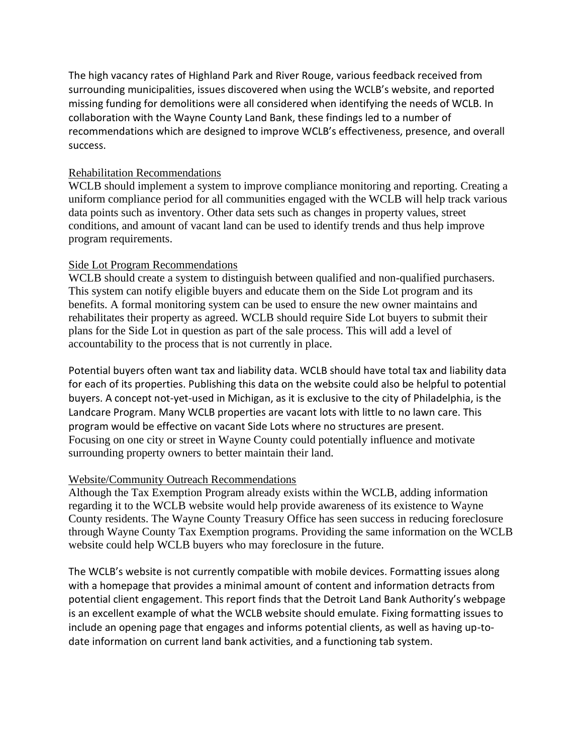The high vacancy rates of Highland Park and River Rouge, various feedback received from surrounding municipalities, issues discovered when using the WCLB's website, and reported missing funding for demolitions were all considered when identifying the needs of WCLB. In collaboration with the Wayne County Land Bank, these findings led to a number of recommendations which are designed to improve WCLB's effectiveness, presence, and overall success.

## Rehabilitation Recommendations

WCLB should implement a system to improve compliance monitoring and reporting. Creating a uniform compliance period for all communities engaged with the WCLB will help track various data points such as inventory. Other data sets such as changes in property values, street conditions, and amount of vacant land can be used to identify trends and thus help improve program requirements.

## Side Lot Program Recommendations

WCLB should create a system to distinguish between qualified and non-qualified purchasers. This system can notify eligible buyers and educate them on the Side Lot program and its benefits. A formal monitoring system can be used to ensure the new owner maintains and rehabilitates their property as agreed. WCLB should require Side Lot buyers to submit their plans for the Side Lot in question as part of the sale process. This will add a level of accountability to the process that is not currently in place.

Potential buyers often want tax and liability data. WCLB should have total tax and liability data for each of its properties. Publishing this data on the website could also be helpful to potential buyers. A concept not-yet-used in Michigan, as it is exclusive to the city of Philadelphia, is the Landcare Program. Many WCLB properties are vacant lots with little to no lawn care. This program would be effective on vacant Side Lots where no structures are present. Focusing on one city or street in Wayne County could potentially influence and motivate surrounding property owners to better maintain their land.

## Website/Community Outreach Recommendations

Although the Tax Exemption Program already exists within the WCLB, adding information regarding it to the WCLB website would help provide awareness of its existence to Wayne County residents. The Wayne County Treasury Office has seen success in reducing foreclosure through Wayne County Tax Exemption programs. Providing the same information on the WCLB website could help WCLB buyers who may foreclosure in the future.

The WCLB's website is not currently compatible with mobile devices. Formatting issues along with a homepage that provides a minimal amount of content and information detracts from potential client engagement. This report finds that the Detroit Land Bank Authority's webpage is an excellent example of what the WCLB website should emulate. Fixing formatting issues to include an opening page that engages and informs potential clients, as well as having up-todate information on current land bank activities, and a functioning tab system.